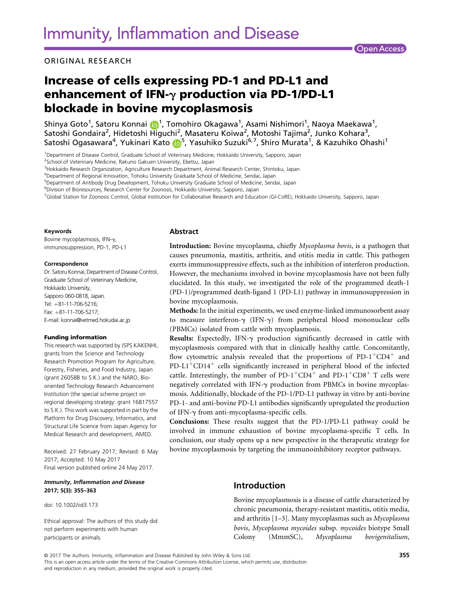ORIGINAL RESEARCH

# Increase of cells expressing PD-1 and PD-L1 and enhancement of IFN- $\gamma$  production via PD-1/PD-L1 blockade in bovine mycoplasmosis

Shinya Goto<sup>1</sup>, Satoru Konnai <mark>(b</mark>1, Tomohiro Okagawa<sup>1</sup>, Asami Nishimori<sup>1</sup>, Naoya Maekawa<sup>1</sup>, Satoshi Gondaira<sup>2</sup>, Hidetoshi Higuchi<sup>2</sup>, Masateru Koiwa<sup>2</sup>, Motoshi Tajima<sup>2</sup>, Junko Kohara<sup>3</sup>, Satoshi Ogasawara<sup>4</sup>, Yukinari Kato <mark>(bi</mark>, Yasuhiko Suzuki<sup>6,7</sup>, Shiro Murata<sup>1</sup>, & Kazuhiko Ohashi<sup>1</sup>

1 Department of Disease Control, Graduate School of Veterinary Medicine, Hokkaido University, Sapporo, Japan

<sup>2</sup>School of Veterinary Medicine, Rakuno Gakuen University, Ebetsu, Japan

3 Hokkaido Research Organization, Agriculture Research Department, Animal Research Center, Shintoku, Japan

4 Department of Regional Innovation, Tohoku University Graduate School of Medicine, Sendai, Japan

5 Department of Antibody Drug Development, Tohoku University Graduate School of Medicine, Sendai, Japan

6 Division of Bioresources, Research Center for Zoonosis, Hokkaido University, Sapporo, Japan

7 Global Station for Zoonosis Control, Global Institution for Collaborative Research and Education (GI-CoRE), Hokkaido University, Sapporo, Japan

#### Keywords

Bovine mycoplasmosis, IFN-y, immunosuppression, PD-1, PD-L1

#### Correspondence

Dr. Satoru Konnai, Department of Disease Control, Graduate School of Veterinary Medicine, Hokkaido University, Sannoro 060-0818, Japan. Tel: +81-11-706-5216;  $Fax: +81-11-706-5217$ E-mail: konnai@vetmed.hokudai.ac.jp

#### Funding information

This research was supported by JSPS KAKENHI, grants from the Science and Technology Research Promotion Program for Agriculture, Forestry, Fisheries, and Food Industry, Japan (grant 26058B to S.K.) and the NARO, Biooriented Technology Research Advancement Institution (the special scheme project on regional developing strategy: grant 16817557 to S.K.). This work was supported in part by the Platform for Drug Discovery, Informatics, and Structural Life Science from Japan Agency for Medical Research and development, AMED.

Received: 27 February 2017; Revised: 6 May 2017; Accepted: 10 May 2017 Final version published online 24 May 2017.

#### Immunity, Inflammation and Disease 2017; 5(3): 355–363

doi: 10.1002/iid3.173

Ethical approval: The authors of this study did not perform experiments with human participants or animals.

### Abstract

Introduction: Bovine mycoplasma, chiefly Mycoplasma bovis, is a pathogen that causes pneumonia, mastitis, arthritis, and otitis media in cattle. This pathogen exerts immunosuppressive effects, such as the inhibition of interferon production. However, the mechanisms involved in bovine mycoplasmosis have not been fully elucidated. In this study, we investigated the role of the programmed death-1 (PD-1)/programmed death-ligand 1 (PD-L1) pathway in immunosuppression in bovine mycoplasmosis.

Methods: In the initial experiments, we used enzyme-linked immunosorbent assay to measure interferon- $\gamma$  (IFN- $\gamma$ ) from peripheral blood mononuclear cells (PBMCs) isolated from cattle with mycoplasmosis.

Results: Expectedly, IFN- $\gamma$  production significantly decreased in cattle with mycoplasmosis compared with that in clinically healthy cattle. Concomitantly, flow cytometric analysis revealed that the proportions of  $PD-1^+CD4^+$  and PD-L1<sup>+</sup>CD14<sup>+</sup> cells significantly increased in peripheral blood of the infected cattle. Interestingly, the number of PD-1<sup>+</sup>CD4<sup>+</sup> and PD-1<sup>+</sup>CD8<sup>+</sup> T cells were negatively correlated with IFN-g production from PBMCs in bovine mycoplasmosis. Additionally, blockade of the PD-1/PD-L1 pathway in vitro by anti-bovine PD-1- and anti-bovine PD-L1 antibodies significantly upregulated the production of IFN- $\gamma$  from anti-mycoplasma-specific cells.

Conclusions: These results suggest that the PD-1/PD-L1 pathway could be involved in immune exhaustion of bovine mycoplasma-specific T cells. In conclusion, our study opens up a new perspective in the therapeutic strategy for bovine mycoplasmosis by targeting the immunoinhibitory receptor pathways.

# Introduction

Bovine mycoplasmosis is a disease of cattle characterized by chronic pneumonia, therapy-resistant mastitis, otitis media, and arthritis [1–3]. Many mycoplasmas such as Mycoplasma bovis, Mycoplasma mycoides subsp. mycoides biotype Small Colony (MmmSC), Mycoplasma bovigenitalium,

© 2017 The Authors. Immunity, Inflammation and Disease Published by John Wiley & Sons Ltd. 355

This is an open access article under the terms of the [Creative Commons Attribution](http://creativecommons.org/licenses/by/4.0/) License, which permits use, distribution and reproduction in any medium, provided the original work is properly cited.

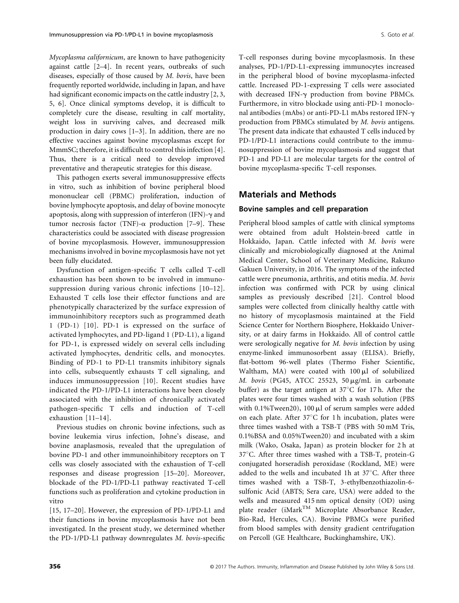Mycoplasma californicum, are known to have pathogenicity against cattle [2–4]. In recent years, outbreaks of such diseases, especially of those caused by M. bovis, have been frequently reported worldwide, including in Japan, and have had significant economic impacts on the cattle industry [2, 3, 5, 6]. Once clinical symptoms develop, it is difficult to completely cure the disease, resulting in calf mortality, weight loss in surviving calves, and decreased milk production in dairy cows [1–3]. In addition, there are no effective vaccines against bovine mycoplasmas except for MmmSC; therefore, it is difficult to control this infection [4]. Thus, there is a critical need to develop improved preventative and therapeutic strategies for this disease.

This pathogen exerts several immunosuppressive effects in vitro, such as inhibition of bovine peripheral blood mononuclear cell (PBMC) proliferation, induction of bovine lymphocyte apoptosis, and delay of bovine monocyte apoptosis, along with suppression of interferon (IFN)- $\gamma$  and tumor necrosis factor (TNF)- $\alpha$  production [7–9]. These characteristics could be associated with disease progression of bovine mycoplasmosis. However, immunosuppression mechanisms involved in bovine mycoplasmosis have not yet been fully elucidated.

Dysfunction of antigen-specific T cells called T-cell exhaustion has been shown to be involved in immunosuppression during various chronic infections [10–12]. Exhausted T cells lose their effector functions and are phenotypically characterized by the surface expression of immunoinhibitory receptors such as programmed death 1 (PD-1) [10]. PD-1 is expressed on the surface of activated lymphocytes, and PD-ligand 1 (PD-L1), a ligand for PD-1, is expressed widely on several cells including activated lymphocytes, dendritic cells, and monocytes. Binding of PD-1 to PD-L1 transmits inhibitory signals into cells, subsequently exhausts T cell signaling, and induces immunosuppression [10]. Recent studies have indicated the PD-1/PD-L1 interactions have been closely associated with the inhibition of chronically activated pathogen-specific T cells and induction of T-cell exhaustion [11–14].

Previous studies on chronic bovine infections, such as bovine leukemia virus infection, Johne's disease, and bovine anaplasmosis, revealed that the upregulation of bovine PD-1 and other immunoinhibitory receptors on T cells was closely associated with the exhaustion of T-cell responses and disease progression [15–20]. Moreover, blockade of the PD-1/PD-L1 pathway reactivated T-cell functions such as proliferation and cytokine production in vitro

[15, 17–20]. However, the expression of PD-1/PD-L1 and their functions in bovine mycoplasmosis have not been investigated. In the present study, we determined whether the PD-1/PD-L1 pathway downregulates M. bovis-specific T-cell responses during bovine mycoplasmosis. In these analyses, PD-1/PD-L1-expressing immunocytes increased in the peripheral blood of bovine mycoplasma-infected cattle. Increased PD-1-expressing T cells were associated with decreased IFN- $\gamma$  production from bovine PBMCs. Furthermore, in vitro blockade using anti-PD-1 monoclonal antibodies (mAbs) or anti-PD-L1 mAbs restored IFN-g production from PBMCs stimulated by M. bovis antigens. The present data indicate that exhausted T cells induced by PD-1/PD-L1 interactions could contribute to the immunosuppression of bovine mycoplasmosis and suggest that PD-1 and PD-L1 are molecular targets for the control of bovine mycoplasma-specific T-cell responses.

# Materials and Methods

#### Bovine samples and cell preparation

Peripheral blood samples of cattle with clinical symptoms were obtained from adult Holstein-breed cattle in Hokkaido, Japan. Cattle infected with M. bovis were clinically and microbiologically diagnosed at the Animal Medical Center, School of Veterinary Medicine, Rakuno Gakuen University, in 2016. The symptoms of the infected cattle were pneumonia, arthritis, and otitis media. M. bovis infection was confirmed with PCR by using clinical samples as previously described [21]. Control blood samples were collected from clinically healthy cattle with no history of mycoplasmosis maintained at the Field Science Center for Northern Biosphere, Hokkaido University, or at dairy farms in Hokkaido. All of control cattle were serologically negative for M. bovis infection by using enzyme-linked immunosorbent assay (ELISA). Briefly, flat-bottom 96-well plates (Thermo Fisher Scientific, Waltham, MA) were coated with  $100 \mu l$  of solubilized M. bovis (PG45, ATCC 25523, 50 µg/mL in carbonate buffer) as the target antigen at  $37^{\circ}$ C for 17 h. After the plates were four times washed with a wash solution (PBS with 0.1%Tween20), 100  $\mu$ l of serum samples were added on each plate. After  $37^{\circ}$ C for 1 h incubation, plates were three times washed with a TSB-T (PBS with 50 mM Tris, 0.1%BSA and 0.05%Tween20) and incubated with a skim milk (Wako, Osaka, Japan) as protein blocker for 2 h at  $37^{\circ}$ C. After three times washed with a TSB-T, protein-G conjugated horseradish peroxidase (Rockland, ME) were added to the wells and incubated 1h at  $37^{\circ}$ C. After three times washed with a TSB-T, 3-ethylbenzothiazolin-6 sulfonic Acid (ABTS; Sera care, USA) were added to the wells and measured 415 nm optical density (OD) using plate reader (iMark<sup>TM</sup> Microplate Absorbance Reader, Bio-Rad, Hercules, CA). Bovine PBMCs were purified from blood samples with density gradient centrifugation on Percoll (GE Healthcare, Buckinghamshire, UK).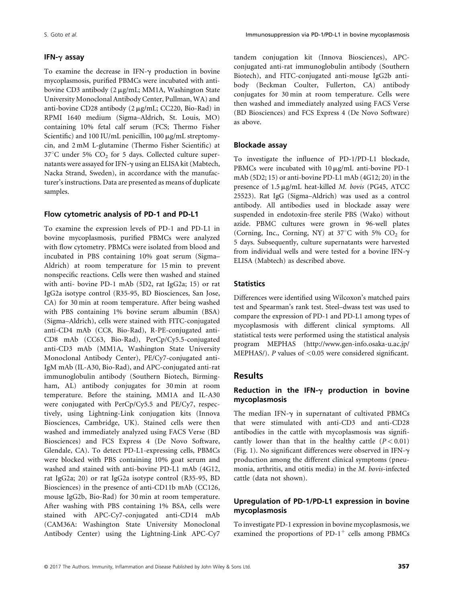#### IFN- $\gamma$  assay

To examine the decrease in IFN- $\gamma$  production in bovine mycoplasmosis, purified PBMCs were incubated with antibovine CD3 antibody (2 µg/mL; MM1A, Washington State University Monoclonal Antibody Center, Pullman, WA) and anti-bovine CD28 antibody  $(2 \mu g/mL; CC220, Bio-Rad)$  in RPMI 1640 medium (Sigma–Aldrich, St. Louis, MO) containing 10% fetal calf serum (FCS; Thermo Fisher Scientific) and 100 IU/mL penicillin, 100  $\mu$ g/mL streptomycin, and 2 mM L-glutamine (Thermo Fisher Scientific) at  $37^{\circ}$ C under 5% CO<sub>2</sub> for 5 days. Collected culture supernatants were assayed for IFN- $\gamma$  using an ELISA kit (Mabtech, Nacka Strand, Sweden), in accordance with the manufacturer's instructions. Data are presented as means of duplicate samples.

#### Flow cytometric analysis of PD-1 and PD-L1

To examine the expression levels of PD-1 and PD-L1 in bovine mycoplasmosis, purified PBMCs were analyzed with flow cytometry. PBMCs were isolated from blood and incubated in PBS containing 10% goat serum (Sigma– Aldrich) at room temperature for 15 min to prevent nonspecific reactions. Cells were then washed and stained with anti- bovine PD-1 mAb (5D2, rat IgG2a; 15) or rat IgG2a isotype control (R35-95, BD Biosciences, San Jose, CA) for 30 min at room temperature. After being washed with PBS containing 1% bovine serum albumin (BSA) (Sigma–Aldrich), cells were stained with FITC-conjugated anti-CD4 mAb (CC8, Bio-Rad), R-PE-conjugated anti-CD8 mAb (CC63, Bio-Rad), PerCp/Cy5.5-conjugated anti-CD3 mAb (MM1A, Washington State University Monoclonal Antibody Center), PE/Cy7-conjugated anti-IgM mAb (IL-A30, Bio-Rad), and APC-conjugated anti-rat immunoglobulin antibody (Southern Biotech, Birmingham, AL) antibody conjugates for 30 min at room temperature. Before the staining, MM1A and IL-A30 were conjugated with PerCp/Cy5.5 and PE/Cy7, respectively, using Lightning-Link conjugation kits (Innova Biosciences, Cambridge, UK). Stained cells were then washed and immediately analyzed using FACS Verse (BD Biosciences) and FCS Express 4 (De Novo Software, Glendale, CA). To detect PD-L1-expressing cells, PBMCs were blocked with PBS containing 10% goat serum and washed and stained with anti-bovine PD-L1 mAb (4G12, rat IgG2a; 20) or rat IgG2a isotype control (R35-95, BD Biosciences) in the presence of anti-CD11b mAb (CC126, mouse IgG2b, Bio-Rad) for 30 min at room temperature. After washing with PBS containing 1% BSA, cells were stained with APC-Cy7-conjugated anti-CD14 mAb (CAM36A: Washington State University Monoclonal Antibody Center) using the Lightning-Link APC-Cy7

tandem conjugation kit (Innova Biosciences), APCconjugated anti-rat immunoglobulin antibody (Southern Biotech), and FITC-conjugated anti-mouse IgG2b antibody (Beckman Coulter, Fullerton, CA) antibody conjugates for 30 min at room temperature. Cells were then washed and immediately analyzed using FACS Verse (BD Biosciences) and FCS Express 4 (De Novo Software) as above.

#### Blockade assay

To investigate the influence of PD-1/PD-L1 blockade, PBMCs were incubated with  $10 \mu g/mL$  anti-bovine PD-1 mAb (5D2; 15) or anti-bovine PD-L1 mAb (4G12; 20) in the presence of 1.5  $\mu$ g/mL heat-killed *M. bovis* (PG45, ATCC 25523). Rat IgG (Sigma–Aldrich) was used as a control antibody. All antibodies used in blockade assay were suspended in endotoxin-free sterile PBS (Wako) without azide. PBMC cultures were grown in 96-well plates (Corning, Inc., Corning, NY) at  $37^{\circ}$ C with 5% CO<sub>2</sub> for 5 days. Subsequently, culture supernatants were harvested from individual wells and were tested for a bovine IFN- $\gamma$ ELISA (Mabtech) as described above.

# **Statistics**

Differences were identified using Wilcoxon's matched pairs test and Spearman's rank test. Steel–dwass test was used to compare the expression of PD-1 and PD-L1 among types of mycoplasmosis with different clinical symptoms. All statistical tests were performed using the statistical analysis program MEPHAS [\(http://www.gen-info.osaka-u.ac.jp/](http://www.gen-info.osaka-u.ac.jp/MEPHAS/) [MEPHAS/\)](http://www.gen-info.osaka-u.ac.jp/MEPHAS/). P values of  $< 0.05$  were considered significant.

# Results

# Reduction in the IFN- $\gamma$  production in bovine mycoplasmosis

The median IFN- $\gamma$  in supernatant of cultivated PBMCs that were stimulated with anti-CD3 and anti-CD28 antibodies in the cattle with mycoplasmosis was significantly lower than that in the healthy cattle  $(P < 0.01)$ (Fig. 1). No significant differences were observed in IFN- $\gamma$ production among the different clinical symptoms (pneumonia, arthritis, and otitis media) in the M. bovis-infected cattle (data not shown).

### Upregulation of PD-1/PD-L1 expression in bovine mycoplasmosis

To investigate PD-1 expression in bovine mycoplasmosis, we examined the proportions of  $PD-1^+$  cells among PBMCs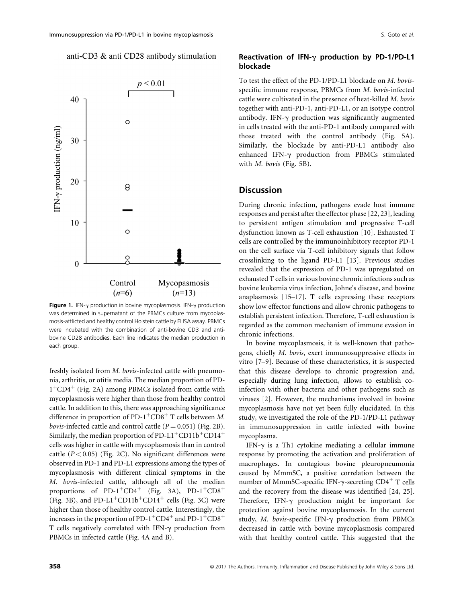### anti-CD3 & anti CD28 antibody stimulation



Figure 1. IFN- $\gamma$  production in bovine mycoplasmosis. IFN- $\gamma$  production was determined in supernatant of the PBMCs culture from mycoplasmosis-afflicted and healthy control Holstein cattle by ELISA assay. PBMCs were incubated with the combination of anti-bovine CD3 and antibovine CD28 antibodies. Each line indicates the median production in each group.

freshly isolated from M. bovis-infected cattle with pneumonia, arthritis, or otitis media. The median proportion of PD- $1<sup>+</sup>CD4<sup>+</sup>$  (Fig. 2A) among PBMCs isolated from cattle with mycoplasmosis were higher than those from healthy control cattle. In addition to this, there was approaching significance difference in proportion of PD-1<sup>+</sup>CD8<sup>+</sup> T cells between M. *bovis*-infected cattle and control cattle  $(P = 0.051)$  (Fig. 2B). Similarly, the median proportion of PD-L1<sup>+</sup>CD11b<sup>+</sup>CD14<sup>+</sup> cells was higher in cattle with mycoplasmosis than in control cattle  $(P < 0.05)$  (Fig. 2C). No significant differences were observed in PD-1 and PD-L1 expressions among the types of mycoplasmosis with different clinical symptoms in the M. bovis-infected cattle, although all of the median proportions of PD-1<sup>+</sup>CD4<sup>+</sup> (Fig. 3A), PD-1<sup>+</sup>CD8<sup>+</sup> (Fig. 3B), and PD-L1<sup>+</sup>CD11b<sup>+</sup>CD14<sup>+</sup> cells (Fig. 3C) were higher than those of healthy control cattle. Interestingly, the increases in the proportion of PD-1<sup>+</sup>CD4<sup>+</sup> and PD-1<sup>+</sup>CD8<sup>+</sup> T cells negatively correlated with IFN- $\gamma$  production from PBMCs in infected cattle (Fig. 4A and B).

# Reactivation of IFN- $\gamma$  production by PD-1/PD-L1 blockade

To test the effect of the PD-1/PD-L1 blockade on M. bovisspecific immune response, PBMCs from M. bovis-infected cattle were cultivated in the presence of heat-killed M. bovis together with anti-PD-1, anti-PD-L1, or an isotype control antibody. IFN- $\gamma$  production was significantly augmented in cells treated with the anti-PD-1 antibody compared with those treated with the control antibody (Fig. 5A). Similarly, the blockade by anti-PD-L1 antibody also enhanced IFN-g production from PBMCs stimulated with  $M.$  bovis (Fig. 5B).

# **Discussion**

During chronic infection, pathogens evade host immune responses and persist after the effector phase [22, 23], leading to persistent antigen stimulation and progressive T-cell dysfunction known as T-cell exhaustion [10]. Exhausted T cells are controlled by the immunoinhibitory receptor PD-1 on the cell surface via T-cell inhibitory signals that follow crosslinking to the ligand PD-L1 [13]. Previous studies revealed that the expression of PD-1 was upregulated on exhausted T cells in various bovine chronic infections such as bovine leukemia virus infection, Johne's disease, and bovine anaplasmosis [15–17]. T cells expressing these receptors show low effector functions and allow chronic pathogens to establish persistent infection. Therefore, T-cell exhaustion is regarded as the common mechanism of immune evasion in chronic infections.

In bovine mycoplasmosis, it is well-known that pathogens, chiefly M. bovis, exert immunosuppressive effects in vitro [7–9]. Because of these characteristics, it is suspected that this disease develops to chronic progression and, especially during lung infection, allows to establish coinfection with other bacteria and other pathogens such as viruses [2]. However, the mechanisms involved in bovine mycoplasmosis have not yet been fully elucidated. In this study, we investigated the role of the PD-1/PD-L1 pathway in immunosuppression in cattle infected with bovine mycoplasma.

IFN- $\gamma$  is a Th1 cytokine mediating a cellular immune response by promoting the activation and proliferation of macrophages. In contagious bovine pleuropneumonia caused by MmmSC, a positive correlation between the number of MmmSC-specific IFN- $\gamma$ -secreting CD4<sup>+</sup> T cells and the recovery from the disease was identified [24, 25]. Therefore, IFN- $\gamma$  production might be important for protection against bovine mycoplasmosis. In the current study, M. bovis-specific IFN- $\gamma$  production from PBMCs decreased in cattle with bovine mycoplasmosis compared with that healthy control cattle. This suggested that the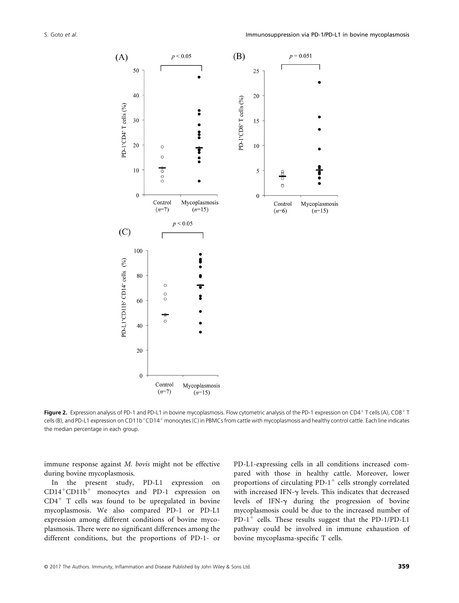

Figure 2. Expression analysis of PD-1 and PD-L1 in bovine mycoplasmosis. Flow cytometric analysis of the PD-1 expression on CD4<sup>+</sup> T cells (A), CD8<sup>+</sup> T cells (B), and PD-L1 expression on CD11b<sup>+</sup>CD14<sup>+</sup> monocytes (C) in PBMCs from cattle with mycoplasmosis and healthy control cattle. Each line indicates the median percentage in each group.

immune response against M. bovis might not be effective during bovine mycoplasmosis.

In the present study, PD-L1 expression on  $CD14<sup>+</sup>CD11b<sup>+</sup>$  monocytes and PD-1 expression on  $CD4<sup>+</sup>$  T cells was found to be upregulated in bovine mycoplasmosis. We also compared PD-1 or PD-L1 expression among different conditions of bovine mycoplasmosis. There were no significant differences among the different conditions, but the proportions of PD-1- or

PD-L1-expressing cells in all conditions increased compared with those in healthy cattle. Moreover, lower proportions of circulating PD-1<sup>+</sup> cells strongly correlated with increased IFN- $\gamma$  levels. This indicates that decreased levels of IFN- $\gamma$  during the progression of bovine mycoplasmosis could be due to the increased number of PD-1<sup>+</sup> cells. These results suggest that the PD-1/PD-L1 pathway could be involved in immune exhaustion of bovine mycoplasma-specific T cells.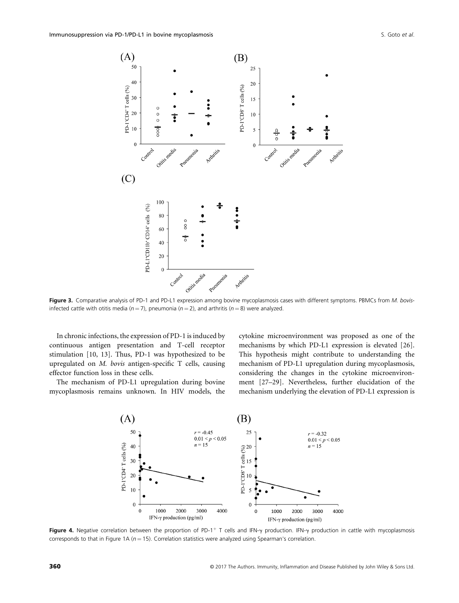

Figure 3. Comparative analysis of PD-1 and PD-L1 expression among bovine mycoplasmosis cases with different symptoms. PBMCs from M. bovisinfected cattle with otitis media ( $n = 7$ ), pneumonia ( $n = 2$ ), and arthritis ( $n = 8$ ) were analyzed.

In chronic infections, the expression of PD-1 is induced by continuous antigen presentation and T-cell receptor stimulation [10, 13]. Thus, PD-1 was hypothesized to be upregulated on M. bovis antigen-specific T cells, causing effector function loss in these cells.

The mechanism of PD-L1 upregulation during bovine mycoplasmosis remains unknown. In HIV models, the cytokine microenvironment was proposed as one of the mechanisms by which PD-L1 expression is elevated [26]. This hypothesis might contribute to understanding the mechanism of PD-L1 upregulation during mycoplasmosis, considering the changes in the cytokine microenvironment [27–29]. Nevertheless, further elucidation of the mechanism underlying the elevation of PD-L1 expression is



Figure 4. Negative correlation between the proportion of PD-1<sup>+</sup> T cells and IFN-y production. IFN-y production in cattle with mycoplasmosis corresponds to that in Figure 1A ( $n = 15$ ). Correlation statistics were analyzed using Spearman's correlation.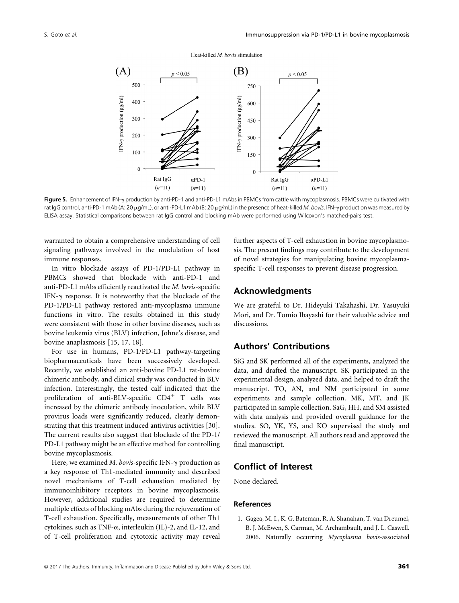#### Heat-killed M. bovis stimulation



Figure 5. Enhancement of IFN-y production by anti-PD-1 and anti-PD-L1 mAbs in PBMCs from cattle with mycoplasmosis. PBMCs were cultivated with rat IgG control, anti-PD-1 mAb (A: 20 μg/mL), or anti-PD-L1 mAb (Β: 20 μg/mL) in the presence of heat-killed M. bovis. IFN-y production was measured by ELISA assay. Statistical comparisons between rat IgG control and blocking mAb were performed using Wilcoxon's matched-pairs test.

warranted to obtain a comprehensive understanding of cell signaling pathways involved in the modulation of host immune responses.

In vitro blockade assays of PD-1/PD-L1 pathway in PBMCs showed that blockade with anti-PD-1 and anti-PD-L1 mAbs efficiently reactivated the M. bovis-specific IFN- $\gamma$  response. It is noteworthy that the blockade of the PD-1/PD-L1 pathway restored anti-mycoplasma immune functions in vitro. The results obtained in this study were consistent with those in other bovine diseases, such as bovine leukemia virus (BLV) infection, Johne's disease, and bovine anaplasmosis [15, 17, 18].

For use in humans, PD-1/PD-L1 pathway-targeting biopharmaceuticals have been successively developed. Recently, we established an anti-bovine PD-L1 rat-bovine chimeric antibody, and clinical study was conducted in BLV infection. Interestingly, the tested calf indicated that the proliferation of anti-BLV-specific  $CD4^+$  T cells was increased by the chimeric antibody inoculation, while BLV provirus loads were significantly reduced, clearly demonstrating that this treatment induced antivirus activities [30]. The current results also suggest that blockade of the PD-1/ PD-L1 pathway might be an effective method for controlling bovine mycoplasmosis.

Here, we examined M. bovis-specific IFN- $\gamma$  production as a key response of Th1-mediated immunity and described novel mechanisms of T-cell exhaustion mediated by immunoinhibitory receptors in bovine mycoplasmosis. However, additional studies are required to determine multiple effects of blocking mAbs during the rejuvenation of T-cell exhaustion. Specifically, measurements of other Th1 cytokines, such as TNF- $\alpha$ , interleukin (IL)-2, and IL-12, and of T-cell proliferation and cytotoxic activity may reveal

further aspects of T-cell exhaustion in bovine mycoplasmosis. The present findings may contribute to the development of novel strategies for manipulating bovine mycoplasmaspecific T-cell responses to prevent disease progression.

# Acknowledgments

We are grateful to Dr. Hideyuki Takahashi, Dr. Yasuyuki Mori, and Dr. Tomio Ibayashi for their valuable advice and discussions.

# Authors' Contributions

SiG and SK performed all of the experiments, analyzed the data, and drafted the manuscript. SK participated in the experimental design, analyzed data, and helped to draft the manuscript. TO, AN, and NM participated in some experiments and sample collection. MK, MT, and JK participated in sample collection. SaG, HH, and SM assisted with data analysis and provided overall guidance for the studies. SO, YK, YS, and KO supervised the study and reviewed the manuscript. All authors read and approved the final manuscript.

# Conflict of Interest

None declared.

#### References

1. Gagea, M. I., K. G. Bateman, R. A. Shanahan, T. van Dreumel, B. J. McEwen, S. Carman, M. Archambault, and J. L. Caswell. 2006. Naturally occurring Mycoplasma bovis-associated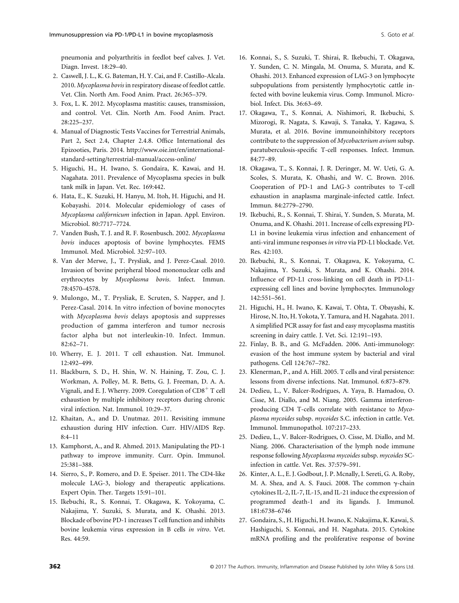pneumonia and polyarthritis in feedlot beef calves. J. Vet. Diagn. Invest. 18:29–40.

- 2. Caswell, J. L., K. G. Bateman, H. Y. Cai, and F. Castillo-Alcala. 2010. Mycoplasma bovis in respiratory disease of feedlot cattle. Vet. Clin. North Am. Food Anim. Pract. 26:365–379.
- 3. Fox, L. K. 2012. Mycoplasma mastitis: causes, transmission, and control. Vet. Clin. North Am. Food Anim. Pract. 28:225–237.
- 4. Manual of Diagnostic Tests Vaccines for Terrestrial Animals, Part 2, Sect 2.4, Chapter 2.4.8. Office International des Epizooties, Paris. 2014. [http://www.oie.int/en/international](http://www.oie.int/en/international-standard-setting/terrestrial-manual/access-online/)[standard-setting/terrestrial-manual/access-online/](http://www.oie.int/en/international-standard-setting/terrestrial-manual/access-online/)
- 5. Higuchi, H., H. Iwano, S. Gondaira, K. Kawai, and H. Nagahata. 2011. Prevalence of Mycoplasma species in bulk tank milk in Japan. Vet. Rec. 169:442.
- 6. Hata, E., K. Suzuki, H. Hanyu, M. Itoh, H. Higuchi, and H. Kobayashi. 2014. Molecular epidemiology of cases of Mycoplasma californicum infection in Japan. Appl. Environ. Microbiol. 80:7717–7724.
- 7. Vanden Bush, T. J. and R. F. Rosenbusch. 2002. Mycoplasma bovis induces apoptosis of bovine lymphocytes. FEMS Immunol. Med. Microbiol. 32:97–103.
- 8. Van der Merwe, J., T. Prysliak, and J. Perez-Casal. 2010. Invasion of bovine peripheral blood mononuclear cells and erythrocytes by Mycoplasma bovis. Infect. Immun. 78:4570–4578.
- 9. Mulongo, M., T. Prysliak, E. Scruten, S. Napper, and J. Perez-Casal. 2014. In vitro infection of bovine monocytes with Mycoplasma bovis delays apoptosis and suppresses production of gamma interferon and tumor necrosis factor alpha but not interleukin-10. Infect. Immun. 82:62–71.
- 10. Wherry, E. J. 2011. T cell exhaustion. Nat. Immunol. 12:492–499.
- 11. Blackburn, S. D., H. Shin, W. N. Haining, T. Zou, C. J. Workman, A. Polley, M. R. Betts, G. J. Freeman, D. A. A. Vignali, and E. J. Wherry. 2009. Coregulation of  $CD8<sup>+</sup>$  T cell exhaustion by multiple inhibitory receptors during chronic viral infection. Nat. Immunol. 10:29–37.
- 12. Khaitan, A., and D. Unutmaz. 2011. Revisiting immune exhaustion during HIV infection. Curr. HIV/AIDS Rep. 8:4–11
- 13. Kamphorst, A., and R. Ahmed. 2013. Manipulating the PD-1 pathway to improve immunity. Curr. Opin. Immunol. 25:381–388.
- 14. Sierro, S., P. Romero, and D. E. Speiser. 2011. The CD4-like molecule LAG-3, biology and therapeutic applications. Expert Opin. Ther. Targets 15:91–101.
- 15. Ikebuchi, R., S. Konnai, T. Okagawa, K. Yokoyama, C. Nakajima, Y. Suzuki, S. Murata, and K. Ohashi. 2013. Blockade of bovine PD-1 increases T cell function and inhibits bovine leukemia virus expression in B cells in vitro. Vet. Res. 44:59.
- 16. Konnai, S., S. Suzuki, T. Shirai, R. Ikebuchi, T. Okagawa, Y. Sunden, C. N. Mingala, M. Onuma, S. Murata, and K. Ohashi. 2013. Enhanced expression of LAG-3 on lymphocyte subpopulations from persistently lymphocytotic cattle infected with bovine leukemia virus. Comp. Immunol. Microbiol. Infect. Dis. 36:63–69.
- 17. Okagawa, T., S. Konnai, A. Nishimori, R. Ikebuchi, S. Mizorogi, R. Nagata, S. Kawaji, S. Tanaka, Y. Kagawa, S. Murata, et al. 2016. Bovine immunoinhibitory receptors contribute to the suppression of Mycobacterium avium subsp. paratuberculosis-specific T-cell responses. Infect. Immun. 84:77–89.
- 18. Okagawa, T., S. Konnai, J. R. Deringer, M. W. Ueti, G. A. Scoles, S. Murata, K. Ohashi, and W. C. Brown. 2016. Cooperation of PD-1 and LAG-3 contributes to T-cell exhaustion in anaplasma marginale-infected cattle. Infect. Immun. 84:2779–2790.
- 19. Ikebuchi, R., S. Konnai, T. Shirai, Y. Sunden, S. Murata, M. Onuma, and K. Ohashi. 2011. Increase of cells expressing PD-L1 in bovine leukemia virus infection and enhancement of anti-viral immune responses in vitro via PD-L1 blockade. Vet. Res. 42:103.
- 20. Ikebuchi, R., S. Konnai, T. Okagawa, K. Yokoyama, C. Nakajima, Y. Suzuki, S. Murata, and K. Ohashi. 2014. Influence of PD-L1 cross-linking on cell death in PD-L1 expressing cell lines and bovine lymphocytes. Immunology 142:551–561.
- 21. Higuchi, H., H. Iwano, K. Kawai, T. Ohta, T. Obayashi, K. Hirose, N. Ito, H. Yokota, Y. Tamura, and H. Nagahata. 2011. A simplified PCR assay for fast and easy mycoplasma mastitis screening in dairy cattle. J. Vet. Sci. 12:191–193.
- 22. Finlay, B. B., and G. McFadden. 2006. Anti-immunology: evasion of the host immune system by bacterial and viral pathogens. Cell 124:767–782.
- 23. Klenerman, P., and A. Hill. 2005. T cells and viral persistence: lessons from diverse infections. Nat. Immunol. 6:873–879.
- 24. Dedieu, L., V. Balcer-Rodrigues, A. Yaya, B. Hamadou, O. Cisse, M. Diallo, and M. Niang. 2005. Gamma interferonproducing CD4 T-cells correlate with resistance to Mycoplasma mycoides subsp. mycoides S.C. infection in cattle. Vet. Immunol. Immunopathol. 107:217–233.
- 25. Dedieu, L., V. Balcer-Rodrigues, O. Cisse, M. Diallo, and M. Niang. 2006. Characterisation of the lymph node immune response following Mycoplasma mycoides subsp. mycoides SCinfection in cattle. Vet. Res. 37:579–591.
- 26. Kinter, A. L., E. J. Godbout, J. P. Mcnally, I. Sereti, G. A. Roby, M. A. Shea, and A. S. Fauci. 2008. The common  $\gamma$ -chain cytokines IL-2, IL-7, IL-15, and IL-21 induce the expression of programmed death-1 and its ligands. J. Immunol. 181:6738–6746
- 27. Gondaira, S., H. Higuchi, H. Iwano, K. Nakajima, K. Kawai, S. Hashiguchi, S. Konnai, and H. Nagahata. 2015. Cytokine mRNA profiling and the proliferative response of bovine